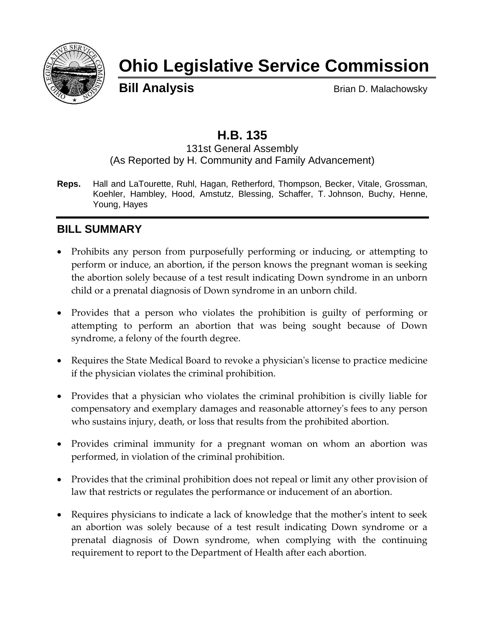

# **Ohio Legislative Service Commission**

**Bill Analysis** Brian D. Malachowsky

# **H.B. 135**

131st General Assembly (As Reported by H. Community and Family Advancement)

**Reps.** Hall and LaTourette, Ruhl, Hagan, Retherford, Thompson, Becker, Vitale, Grossman, Koehler, Hambley, Hood, Amstutz, Blessing, Schaffer, T. Johnson, Buchy, Henne, Young, Hayes

# **BILL SUMMARY**

- Prohibits any person from purposefully performing or inducing, or attempting to perform or induce, an abortion, if the person knows the pregnant woman is seeking the abortion solely because of a test result indicating Down syndrome in an unborn child or a prenatal diagnosis of Down syndrome in an unborn child.
- Provides that a person who violates the prohibition is guilty of performing or attempting to perform an abortion that was being sought because of Down syndrome, a felony of the fourth degree.
- Requires the State Medical Board to revoke a physician's license to practice medicine if the physician violates the criminal prohibition.
- Provides that a physician who violates the criminal prohibition is civilly liable for compensatory and exemplary damages and reasonable attorney's fees to any person who sustains injury, death, or loss that results from the prohibited abortion.
- Provides criminal immunity for a pregnant woman on whom an abortion was performed, in violation of the criminal prohibition.
- Provides that the criminal prohibition does not repeal or limit any other provision of law that restricts or regulates the performance or inducement of an abortion.
- Requires physicians to indicate a lack of knowledge that the mother's intent to seek an abortion was solely because of a test result indicating Down syndrome or a prenatal diagnosis of Down syndrome, when complying with the continuing requirement to report to the Department of Health after each abortion.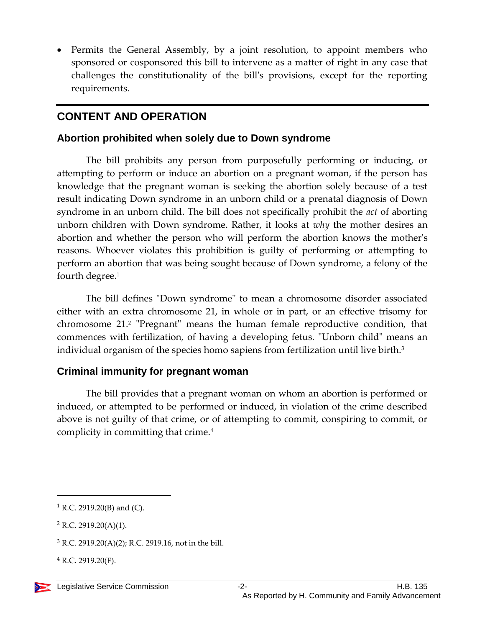• Permits the General Assembly, by a joint resolution, to appoint members who sponsored or cosponsored this bill to intervene as a matter of right in any case that challenges the constitutionality of the bill's provisions, except for the reporting requirements.

# **CONTENT AND OPERATION**

#### **Abortion prohibited when solely due to Down syndrome**

The bill prohibits any person from purposefully performing or inducing, or attempting to perform or induce an abortion on a pregnant woman, if the person has knowledge that the pregnant woman is seeking the abortion solely because of a test result indicating Down syndrome in an unborn child or a prenatal diagnosis of Down syndrome in an unborn child. The bill does not specifically prohibit the *act* of aborting unborn children with Down syndrome. Rather, it looks at *why* the mother desires an abortion and whether the person who will perform the abortion knows the mother's reasons. Whoever violates this prohibition is guilty of performing or attempting to perform an abortion that was being sought because of Down syndrome, a felony of the fourth degree.<sup>1</sup>

The bill defines "Down syndrome" to mean a chromosome disorder associated either with an extra chromosome 21, in whole or in part, or an effective trisomy for chromosome 21.<sup>2</sup> "Pregnant" means the human female reproductive condition, that commences with fertilization, of having a developing fetus. "Unborn child" means an individual organism of the species homo sapiens from fertilization until live birth.<sup>3</sup>

### **Criminal immunity for pregnant woman**

The bill provides that a pregnant woman on whom an abortion is performed or induced, or attempted to be performed or induced, in violation of the crime described above is not guilty of that crime, or of attempting to commit, conspiring to commit, or complicity in committing that crime.<sup>4</sup>



 $\overline{a}$ 

 $1$  R.C. 2919.20(B) and (C).

<sup>2</sup> R.C. 2919.20(A)(1).

 $3$  R.C. 2919.20(A)(2); R.C. 2919.16, not in the bill.

 $4$  R.C. 2919.20(F).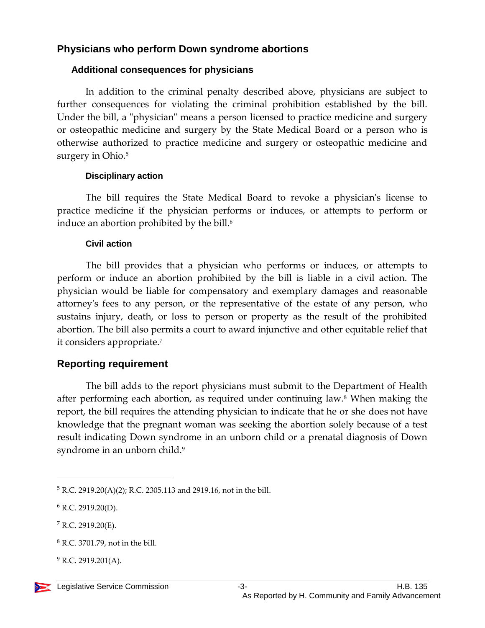#### **Physicians who perform Down syndrome abortions**

#### **Additional consequences for physicians**

In addition to the criminal penalty described above, physicians are subject to further consequences for violating the criminal prohibition established by the bill. Under the bill, a "physician" means a person licensed to practice medicine and surgery or osteopathic medicine and surgery by the State Medical Board or a person who is otherwise authorized to practice medicine and surgery or osteopathic medicine and surgery in Ohio.<sup>5</sup>

#### **Disciplinary action**

The bill requires the State Medical Board to revoke a physician's license to practice medicine if the physician performs or induces, or attempts to perform or induce an abortion prohibited by the bill.<sup>6</sup>

#### **Civil action**

The bill provides that a physician who performs or induces, or attempts to perform or induce an abortion prohibited by the bill is liable in a civil action. The physician would be liable for compensatory and exemplary damages and reasonable attorney's fees to any person, or the representative of the estate of any person, who sustains injury, death, or loss to person or property as the result of the prohibited abortion. The bill also permits a court to award injunctive and other equitable relief that it considers appropriate.<sup>7</sup>

#### **Reporting requirement**

The bill adds to the report physicians must submit to the Department of Health after performing each abortion, as required under continuing law.<sup>8</sup> When making the report, the bill requires the attending physician to indicate that he or she does not have knowledge that the pregnant woman was seeking the abortion solely because of a test result indicating Down syndrome in an unborn child or a prenatal diagnosis of Down syndrome in an unborn child.<sup>9</sup>

 $\overline{a}$ 

 $^{9}$  R.C. 2919.201(A).



<sup>5</sup> R.C. 2919.20(A)(2); R.C. 2305.113 and 2919.16, not in the bill.

<sup>6</sup> R.C. 2919.20(D).

 $7$  R.C. 2919.20(E).

<sup>8</sup> R.C. 3701.79, not in the bill.